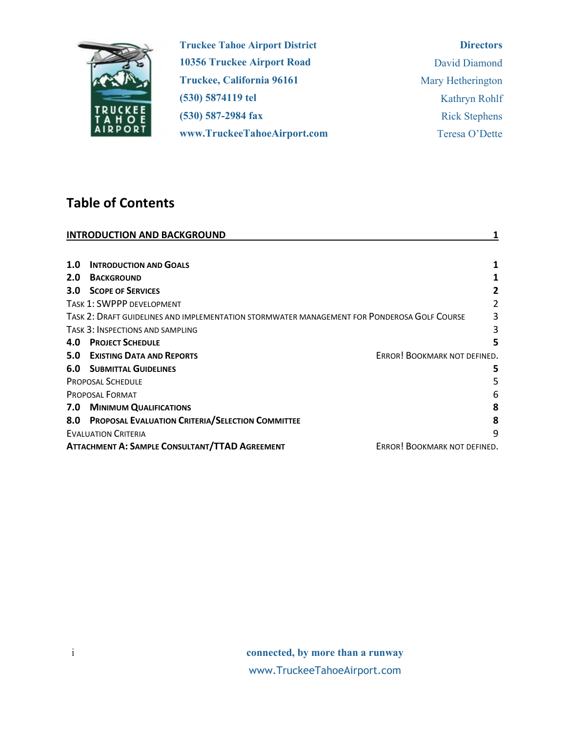

**Truckee Tahoe Airport District 10356 Truckee Airport Road Truckee, California 96161 (530) 5874119 tel (530) 587-2984 fax www.TruckeeTahoeAirport.com** 

### **Directors**

| David Diamond        |
|----------------------|
| Mary Hetherington    |
| Kathryn Rohlf        |
| <b>Rick Stephens</b> |
| Teresa O'Dette       |

# **Table of Contents**

| <b>INTRODUCTION AND BACKGROUND</b> |                                                                                             |                              |  |
|------------------------------------|---------------------------------------------------------------------------------------------|------------------------------|--|
|                                    |                                                                                             |                              |  |
| 1.0                                | <b>INTRODUCTION AND GOALS</b>                                                               | 1                            |  |
| 2.0                                | <b>BACKGROUND</b>                                                                           |                              |  |
| 3.0                                | <b>SCOPE OF SERVICES</b>                                                                    |                              |  |
|                                    | <b>TASK 1: SWPPP DEVELOPMENT</b>                                                            | 2                            |  |
|                                    | TASK 2: DRAFT GUIDELINES AND IMPLEMENTATION STORMWATER MANAGEMENT FOR PONDEROSA GOLF COURSE | 3                            |  |
|                                    | TASK 3: INSPECTIONS AND SAMPLING                                                            | 3                            |  |
| 4.0                                | <b>PROJECT SCHEDULE</b>                                                                     | 5                            |  |
| 5.0                                | <b>EXISTING DATA AND REPORTS</b>                                                            | ERROR! BOOKMARK NOT DEFINED. |  |
| 6.0                                | <b>SUBMITTAL GUIDELINES</b>                                                                 | 5                            |  |
|                                    | <b>PROPOSAL SCHEDULE</b>                                                                    | 5                            |  |
|                                    | <b>PROPOSAL FORMAT</b>                                                                      | 6                            |  |
| 7.0                                | <b>MINIMUM QUALIFICATIONS</b>                                                               | 8                            |  |
| 8.0                                | PROPOSAL EVALUATION CRITERIA/SELECTION COMMITTEE                                            | 8                            |  |
|                                    | <b>EVALUATION CRITERIA</b>                                                                  | 9                            |  |
|                                    | <b>ATTACHMENT A: SAMPLE CONSULTANT/TTAD AGREEMENT</b>                                       | ERROR! BOOKMARK NOT DEFINED. |  |

i **connected, by more than a runway** www.TruckeeTahoeAirport.com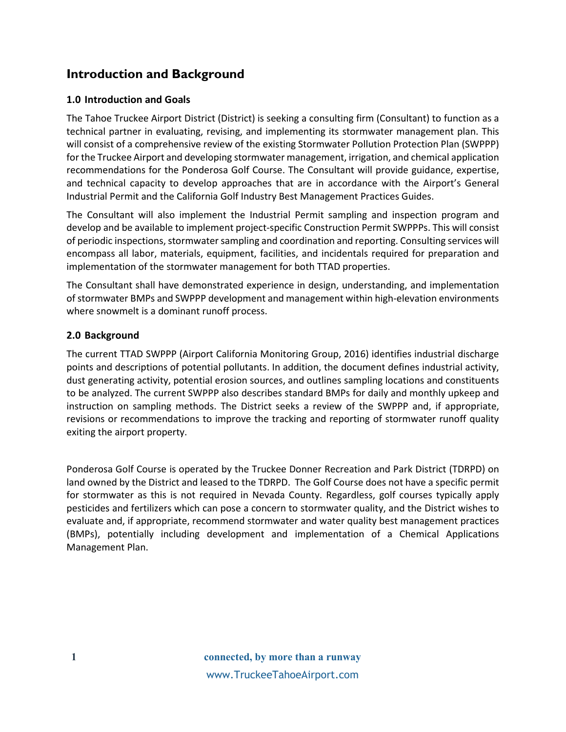# <span id="page-1-0"></span>**Introduction and Background**

### <span id="page-1-1"></span>**1.0 Introduction and Goals**

The Tahoe Truckee Airport District (District) is seeking a consulting firm (Consultant) to function as a technical partner in evaluating, revising, and implementing its stormwater management plan. This will consist of a comprehensive review of the existing Stormwater Pollution Protection Plan (SWPPP) for the Truckee Airport and developing stormwater management, irrigation, and chemical application recommendations for the Ponderosa Golf Course. The Consultant will provide guidance, expertise, and technical capacity to develop approaches that are in accordance with the Airport's General Industrial Permit and the California Golf Industry Best Management Practices Guides.

The Consultant will also implement the Industrial Permit sampling and inspection program and develop and be available to implement project-specific Construction Permit SWPPPs. This will consist of periodic inspections, stormwater sampling and coordination and reporting. Consulting services will encompass all labor, materials, equipment, facilities, and incidentals required for preparation and implementation of the stormwater management for both TTAD properties.

The Consultant shall have demonstrated experience in design, understanding, and implementation of stormwater BMPs and SWPPP development and management within high-elevation environments where snowmelt is a dominant runoff process.

### <span id="page-1-2"></span>**2.0 Background**

The current TTAD SWPPP (Airport California Monitoring Group, 2016) identifies industrial discharge points and descriptions of potential pollutants. In addition, the document defines industrial activity, dust generating activity, potential erosion sources, and outlines sampling locations and constituents to be analyzed. The current SWPPP also describes standard BMPs for daily and monthly upkeep and instruction on sampling methods. The District seeks a review of the SWPPP and, if appropriate, revisions or recommendations to improve the tracking and reporting of stormwater runoff quality exiting the airport property.

Ponderosa Golf Course is operated by the Truckee Donner Recreation and Park District (TDRPD) on land owned by the District and leased to the TDRPD. The Golf Course does not have a specific permit for stormwater as this is not required in Nevada County. Regardless, golf courses typically apply pesticides and fertilizers which can pose a concern to stormwater quality, and the District wishes to evaluate and, if appropriate, recommend stormwater and water quality best management practices (BMPs), potentially including development and implementation of a Chemical Applications Management Plan.

**1 connected, by more than a runway** www.TruckeeTahoeAirport.com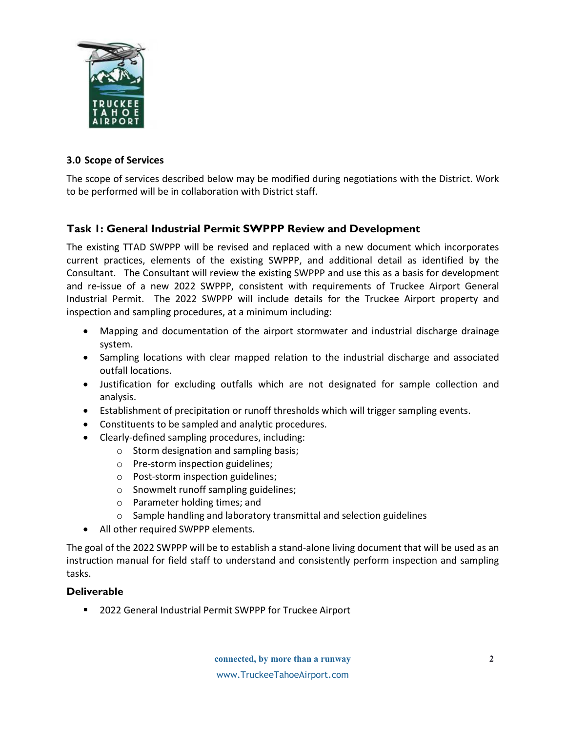

### <span id="page-2-0"></span>**3.0 Scope of Services**

The scope of services described below may be modified during negotiations with the District. Work to be performed will be in collaboration with District staff.

# <span id="page-2-1"></span>**Task 1: General Industrial Permit SWPPP Review and Development**

The existing TTAD SWPPP will be revised and replaced with a new document which incorporates current practices, elements of the existing SWPPP, and additional detail as identified by the Consultant. The Consultant will review the existing SWPPP and use this as a basis for development and re-issue of a new 2022 SWPPP, consistent with requirements of Truckee Airport General Industrial Permit. The 2022 SWPPP will include details for the Truckee Airport property and inspection and sampling procedures, at a minimum including:

- Mapping and documentation of the airport stormwater and industrial discharge drainage system.
- Sampling locations with clear mapped relation to the industrial discharge and associated outfall locations.
- Justification for excluding outfalls which are not designated for sample collection and analysis.
- Establishment of precipitation or runoff thresholds which will trigger sampling events.
- Constituents to be sampled and analytic procedures.
- Clearly-defined sampling procedures, including:
	- o Storm designation and sampling basis;
		- o Pre-storm inspection guidelines;
		- o Post-storm inspection guidelines;
		- o Snowmelt runoff sampling guidelines;
		- o Parameter holding times; and
		- o Sample handling and laboratory transmittal and selection guidelines
- All other required SWPPP elements.

The goal of the 2022 SWPPP will be to establish a stand-alone living document that will be used as an instruction manual for field staff to understand and consistently perform inspection and sampling tasks.

### **Deliverable**

**2022 General Industrial Permit SWPPP for Truckee Airport**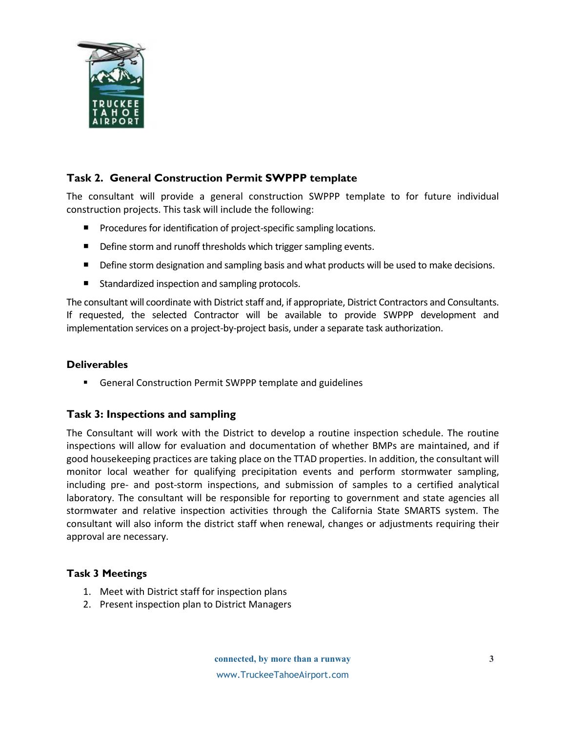

# **Task 2. General Construction Permit SWPPP template**

The consultant will provide a general construction SWPPP template to for future individual construction projects. This task will include the following:

- **Procedures for identification of project-specific sampling locations.**
- Define storm and runoff thresholds which trigger sampling events.
- Define storm designation and sampling basis and what products will be used to make decisions.
- Standardized inspection and sampling protocols.

The consultant will coordinate with District staff and, if appropriate, District Contractors and Consultants. If requested, the selected Contractor will be available to provide SWPPP development and implementation services on a project-by-project basis, under a separate task authorization.

### **Deliverables**

General Construction Permit SWPPP template and guidelines

### <span id="page-3-0"></span>**Task 3: Inspections and sampling**

The Consultant will work with the District to develop a routine inspection schedule. The routine inspections will allow for evaluation and documentation of whether BMPs are maintained, and if good housekeeping practices are taking place on the TTAD properties. In addition, the consultant will monitor local weather for qualifying precipitation events and perform stormwater sampling, including pre- and post-storm inspections, and submission of samples to a certified analytical laboratory. The consultant will be responsible for reporting to government and state agencies all stormwater and relative inspection activities through the California State SMARTS system. The consultant will also inform the district staff when renewal, changes or adjustments requiring their approval are necessary.

### **Task 3 Meetings**

- 1. Meet with District staff for inspection plans
- 2. Present inspection plan to District Managers

**connected, by more than a runway** www.TruckeeTahoeAirport.com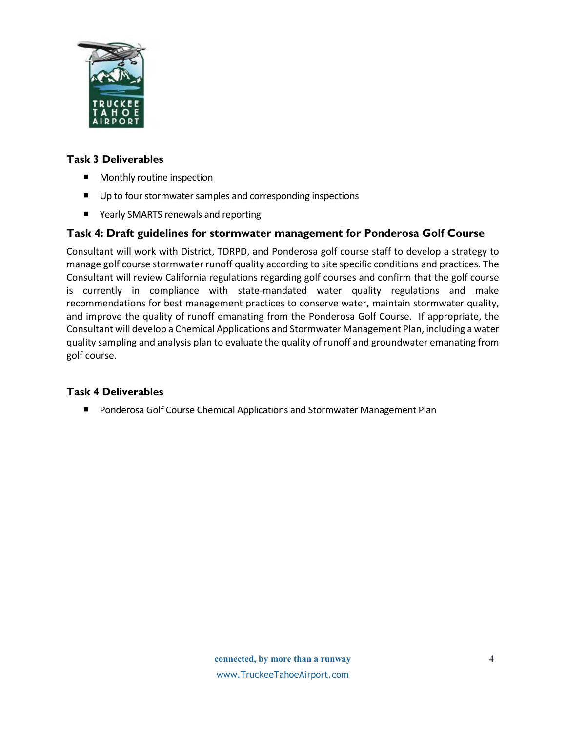

### **Task 3 Deliverables**

- Monthly routine inspection
- Up to four stormwater samples and corresponding inspections
- Yearly SMARTS renewals and reporting

### **Task 4: Draft guidelines for stormwater management for Ponderosa Golf Course**

Consultant will work with District, TDRPD, and Ponderosa golf course staff to develop a strategy to manage golf course stormwater runoff quality according to site specific conditions and practices. The Consultant will review California regulations regarding golf courses and confirm that the golf course is currently in compliance with state-mandated water quality regulations and make recommendations for best management practices to conserve water, maintain stormwater quality, and improve the quality of runoff emanating from the Ponderosa Golf Course. If appropriate, the Consultant will develop a Chemical Applications and Stormwater Management Plan, including a water quality sampling and analysis plan to evaluate the quality of runoff and groundwater emanating from golf course.

### **Task 4 Deliverables**

**Philter Conderosa Golf Course Chemical Applications and Stormwater Management Plan**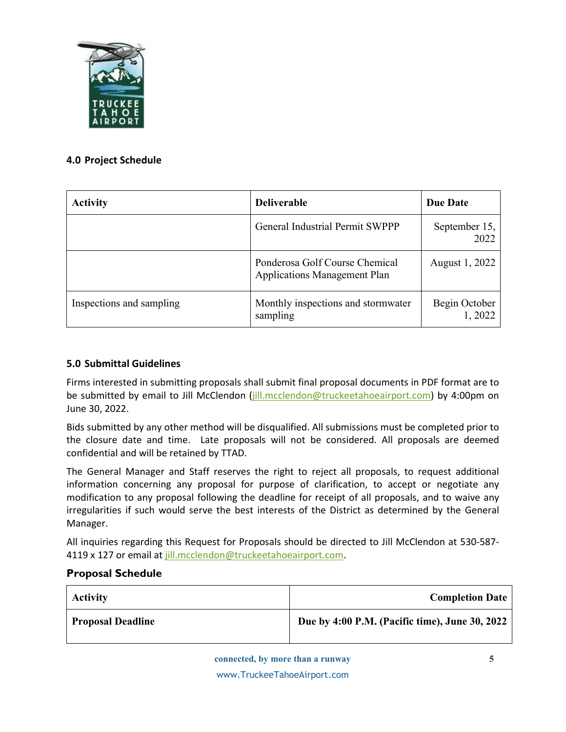

### <span id="page-5-0"></span>**4.0 Project Schedule**

| <b>Activity</b>          | <b>Deliverable</b>                                                    | <b>Due Date</b>         |
|--------------------------|-----------------------------------------------------------------------|-------------------------|
|                          | General Industrial Permit SWPPP                                       | September 15,<br>2022   |
|                          | Ponderosa Golf Course Chemical<br><b>Applications Management Plan</b> | August 1, 2022          |
| Inspections and sampling | Monthly inspections and stormwater<br>sampling                        | Begin October<br>1,2022 |

### <span id="page-5-1"></span>**5.0 Submittal Guidelines**

Firms interested in submitting proposals shall submit final proposal documents in PDF format are to be submitted by email to Jill McClendon [\(jill.mcclendon@truckeetahoeairport.com\)](mailto:jill.mcclendon@truckeetahoeairport.com) by 4:00pm on June 30, 2022.

Bids submitted by any other method will be disqualified. All submissions must be completed prior to the closure date and time. Late proposals will not be considered. All proposals are deemed confidential and will be retained by TTAD.

The General Manager and Staff reserves the right to reject all proposals, to request additional information concerning any proposal for purpose of clarification, to accept or negotiate any modification to any proposal following the deadline for receipt of all proposals, and to waive any irregularities if such would serve the best interests of the District as determined by the General Manager.

All inquiries regarding this Request for Proposals should be directed to Jill McClendon at 530-587 4119 x 127 or email a[t jill.mcclendon@truckeetahoeairport.com.](mailto:jill.mcclendon@truckeetahoeairport.com)

### <span id="page-5-2"></span>**Proposal Schedule**

| <b>Activity</b>          | <b>Completion Date</b>                         |
|--------------------------|------------------------------------------------|
| <b>Proposal Deadline</b> | Due by 4:00 P.M. (Pacific time), June 30, 2022 |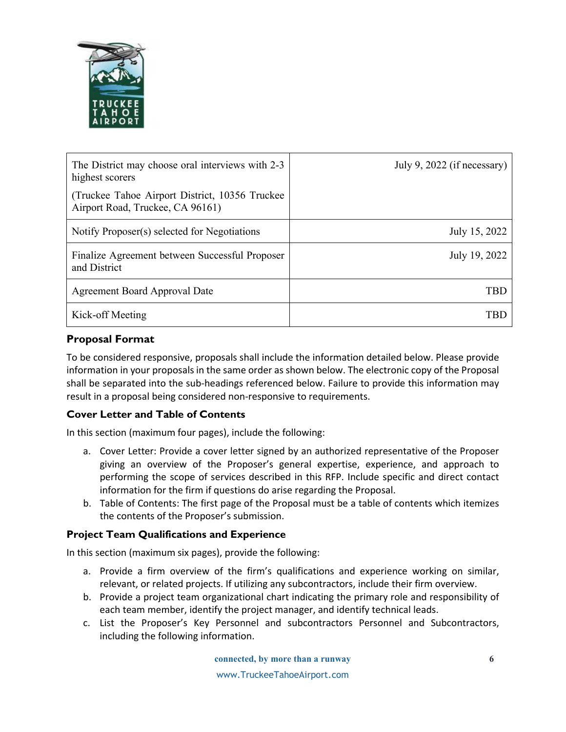

| The District may choose oral interviews with 2-3<br>highest scorers                 | July 9, 2022 (if necessary) |
|-------------------------------------------------------------------------------------|-----------------------------|
| (Truckee Tahoe Airport District, 10356 Truckee)<br>Airport Road, Truckee, CA 96161) |                             |
| Notify Proposer(s) selected for Negotiations                                        | July 15, 2022               |
| Finalize Agreement between Successful Proposer<br>and District                      | July 19, 2022               |
| <b>Agreement Board Approval Date</b>                                                | TBD                         |
| Kick-off Meeting                                                                    | ГRГ                         |

# <span id="page-6-0"></span>**Proposal Format**

To be considered responsive, proposals shall include the information detailed below. Please provide information in your proposals in the same order as shown below. The electronic copy of the Proposal shall be separated into the sub-headings referenced below. Failure to provide this information may result in a proposal being considered non-responsive to requirements.

# **Cover Letter and Table of Contents**

In this section (maximum four pages), include the following:

- a. Cover Letter: Provide a cover letter signed by an authorized representative of the Proposer giving an overview of the Proposer's general expertise, experience, and approach to performing the scope of services described in this RFP. Include specific and direct contact information for the firm if questions do arise regarding the Proposal.
- b. Table of Contents: The first page of the Proposal must be a table of contents which itemizes the contents of the Proposer's submission.

### **Project Team Qualifications and Experience**

In this section (maximum six pages), provide the following:

- a. Provide a firm overview of the firm's qualifications and experience working on similar, relevant, or related projects. If utilizing any subcontractors, include their firm overview.
- b. Provide a project team organizational chart indicating the primary role and responsibility of each team member, identify the project manager, and identify technical leads.
- c. List the Proposer's Key Personnel and subcontractors Personnel and Subcontractors, including the following information.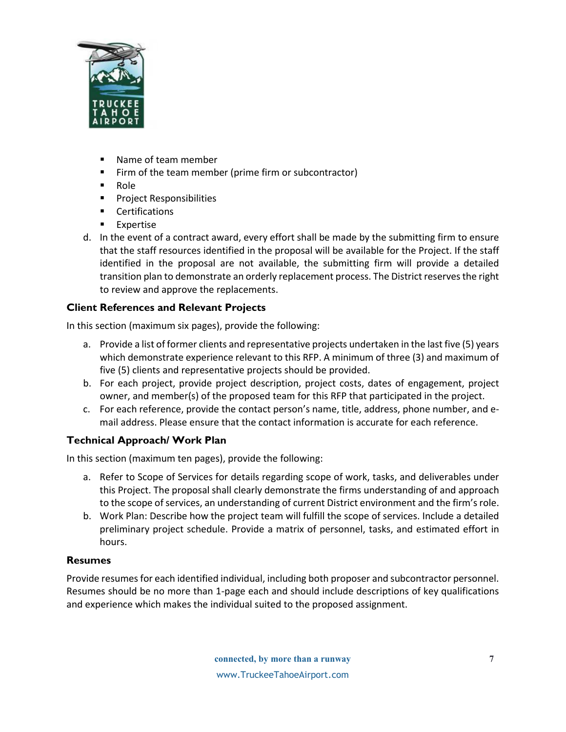

- Name of team member
- Firm of the team member (prime firm or subcontractor)
- Role
- **Project Responsibilities**
- **•** Certifications
- Expertise
- d. In the event of a contract award, every effort shall be made by the submitting firm to ensure that the staff resources identified in the proposal will be available for the Project. If the staff identified in the proposal are not available, the submitting firm will provide a detailed transition plan to demonstrate an orderly replacement process. The District reserves the right to review and approve the replacements.

# **Client References and Relevant Projects**

In this section (maximum six pages), provide the following:

- a. Provide a list of former clients and representative projects undertaken in the last five (5) years which demonstrate experience relevant to this RFP. A minimum of three (3) and maximum of five (5) clients and representative projects should be provided.
- b. For each project, provide project description, project costs, dates of engagement, project owner, and member(s) of the proposed team for this RFP that participated in the project.
- c. For each reference, provide the contact person's name, title, address, phone number, and email address. Please ensure that the contact information is accurate for each reference.

# **Technical Approach/ Work Plan**

In this section (maximum ten pages), provide the following:

- a. Refer to Scope of Services for details regarding scope of work, tasks, and deliverables under this Project. The proposal shall clearly demonstrate the firms understanding of and approach to the scope of services, an understanding of current District environment and the firm's role.
- b. Work Plan: Describe how the project team will fulfill the scope of services. Include a detailed preliminary project schedule. Provide a matrix of personnel, tasks, and estimated effort in hours.

### **Resumes**

Provide resumes for each identified individual, including both proposer and subcontractor personnel. Resumes should be no more than 1-page each and should include descriptions of key qualifications and experience which makes the individual suited to the proposed assignment.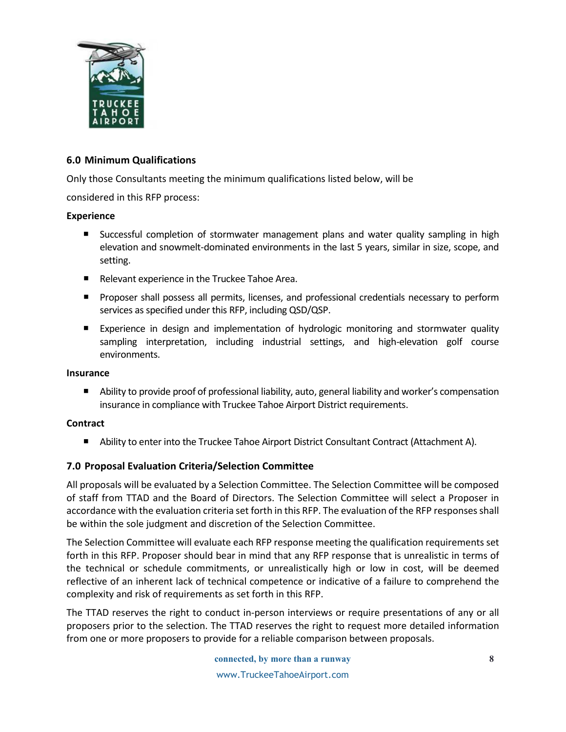

### <span id="page-8-0"></span>**6.0 Minimum Qualifications**

Only those Consultants meeting the minimum qualifications listed below, will be

considered in this RFP process:

### **Experience**

- Successful completion of stormwater management plans and water quality sampling in high elevation and snowmelt-dominated environments in the last 5 years, similar in size, scope, and setting.
- Relevant experience in the Truckee Tahoe Area.
- **Proposer shall possess all permits, licenses, and professional credentials necessary to perform** services as specified under this RFP, including QSD/QSP.
- Experience in design and implementation of hydrologic monitoring and stormwater quality sampling interpretation, including industrial settings, and high-elevation golf course environments.

### **Insurance**

 Ability to provide proof of professional liability, auto, general liability and worker's compensation insurance in compliance with Truckee Tahoe Airport District requirements.

### **Contract**

**Ability to enter into the Truckee Tahoe Airport District Consultant Contract (Attachment A).** 

### <span id="page-8-1"></span>**7.0 Proposal Evaluation Criteria/Selection Committee**

All proposals will be evaluated by a Selection Committee. The Selection Committee will be composed of staff from TTAD and the Board of Directors. The Selection Committee will select a Proposer in accordance with the evaluation criteria set forth in this RFP. The evaluation of the RFP responses shall be within the sole judgment and discretion of the Selection Committee.

The Selection Committee will evaluate each RFP response meeting the qualification requirements set forth in this RFP. Proposer should bear in mind that any RFP response that is unrealistic in terms of the technical or schedule commitments, or unrealistically high or low in cost, will be deemed reflective of an inherent lack of technical competence or indicative of a failure to comprehend the complexity and risk of requirements as set forth in this RFP.

The TTAD reserves the right to conduct in-person interviews or require presentations of any or all proposers prior to the selection. The TTAD reserves the right to request more detailed information from one or more proposers to provide for a reliable comparison between proposals.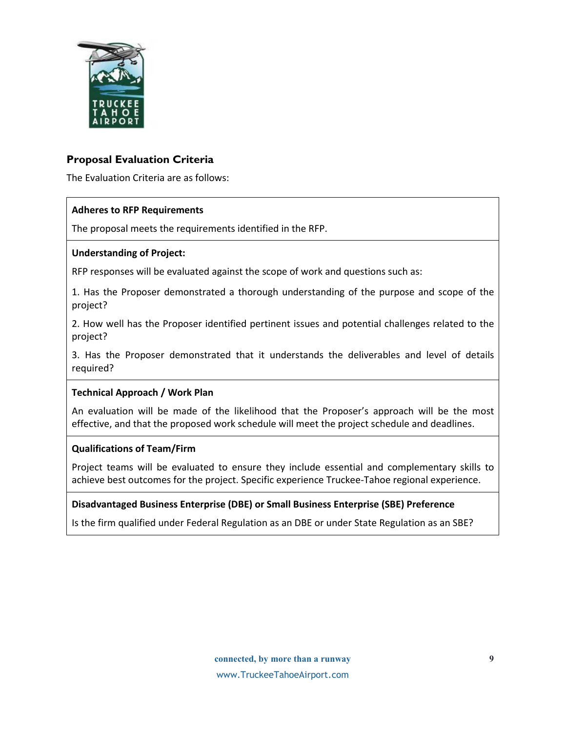

# <span id="page-9-0"></span>**Proposal Evaluation Criteria**

The Evaluation Criteria are as follows:

#### **Adheres to RFP Requirements**

The proposal meets the requirements identified in the RFP.

#### **Understanding of Project:**

RFP responses will be evaluated against the scope of work and questions such as:

1. Has the Proposer demonstrated a thorough understanding of the purpose and scope of the project?

2. How well has the Proposer identified pertinent issues and potential challenges related to the project?

3. Has the Proposer demonstrated that it understands the deliverables and level of details required?

### **Technical Approach / Work Plan**

An evaluation will be made of the likelihood that the Proposer's approach will be the most effective, and that the proposed work schedule will meet the project schedule and deadlines.

#### **Qualifications of Team/Firm**

Project teams will be evaluated to ensure they include essential and complementary skills to achieve best outcomes for the project. Specific experience Truckee-Tahoe regional experience.

### **Disadvantaged Business Enterprise (DBE) or Small Business Enterprise (SBE) Preference**

Is the firm qualified under Federal Regulation as an DBE or under State Regulation as an SBE?